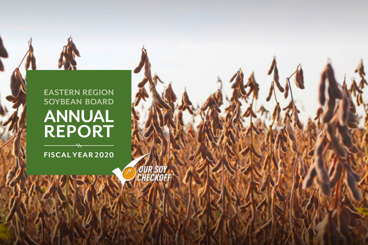## **EASTERN REGION SOYBEAN BOARD ANNUAL REPORT**  $\overline{\phantom{a}}$

**FISCAL YEAR 2020**

OUR SOY<br>CHECKOFF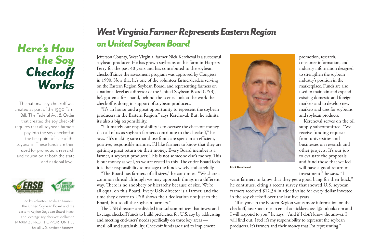## *Here's How the Soy Checkoff Works*

The national soy checkoff was created as part of the 1990 Farm Bill. The Federal Act & Order that created the soy checkoff requires that all soybean farmers pay into the soy checkoff at the first point of sale of the soybeans. These funds are then used for promotion, research and education at both the state and national level.



 Led by volunteer soybean farmers, the United Soybean Board and the Eastern Region Soybean Board invest and leverage soy checkoff dollars to MAXIMIZE PROFIT OPPORTUNITIES for all U.S. soybean farmers.

## *West Virginia Farmer Represents Eastern Region on United Soybean Board*

Jefferson County, West Virginia, farmer Nick Kercheval is a successful soybean producer. He has grown soybeans on his farm in Harpers Ferry for the past 40 years and has contributed to the soybean checkoff since the assessment program was approved by Congress in 1990. Now that he's one of the volunteer farmer/leaders serving on the Eastern Region Soybean Board, and representing farmers on a national level as a director of the United Soybean Board (USB), he's gotten a first-hand, behind-the-scenes look at the work the checkoff is doing in support of soybean producers.

"It's an honor and a great opportunity to represent the soybean producers in the Eastern Region," says Kercheval. But, he admits, it's also a big responsibility.

"Ultimately our responsibility is to oversee the checkoff money that all of us as soybean farmers contribute to the checkoff," he says. "It's making sure that those funds are spent in an efficient, positive, responsible manner. I'd like farmers to know that they are getting a great return on their money. Every Board member is a farmer, a soybean producer. This is not someone else's money. This is our money as well, so we are vested in this. The entire Board feels it is their responsibility to manage the funds wisely and carefully.

"The Board has farmers of all sizes," he continues. "We share a common thread although we may approach things in a different way. There is no snobbery or hierarchy because of size. We're all equal on this Board. Every USB director is a farmer, and the time they devote to USB shows their dedication not just to the Board, but to all the soybean farmers."

The USB directors are divided into subcommittees that invest and leverage checkoff funds to build preference for U.S. soy by addressing and meeting end-users' needs specifically on three key areas meal, oil and sustainability. Checkoff funds are used to implement



**Nick Kercheval**

promotion, research, consumer information, and industry information designed to strengthen the soybean industry's position in the marketplace. Funds are also used to maintain and expand existing domestic and foreign markets and to develop new markets and uses for soybeans and soybean products.

Kercheval serves on the oil supply subcommittee. "We receive funding requests from universities and businesses on research and other projects. It's our job to evaluate the proposals and fund those that we feel will have a good return on investment," he says. "I

want farmers to know that they get a good bang for their buck," he continues, citing a recent survey that showed U.S. soybean farmers received \$12.34 in added value for every dollar invested in the soy checkoff over the last five years.

"If anyone in the Eastern Region wants more information on the checkoff, just shoot me an email at nickkercheval@outlook.com and I will respond to you," he says. "And if I don't know the answer, I will find out. I feel it's my responsibility to represent the soybean producers. It's farmers and their money that I'm representing."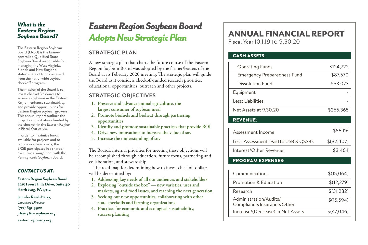#### *What is the Eastern Region Soybean Board?*

The Eastern Region Soybean Board (ERSB) is the farmercontrolled Qualified State Soybean Board responsible for managing the West Virginia, Florida and New England states' share of funds received from the nationwide soybean checkoff program.

The mission of the Board is to invest checkoff resources to advance soybeans in the Eastern Region, enhance sustainability, and provide opportunities for Eastern Region soybean growers. This annual report outlines the projects and initiatives funded by the checkoff in the Eastern Region in Fiscal Year 2020.

In order to maximize funds available for projects and to reduce overhead costs, the ERSB participates in a sharedexecutive arrangement with the Pennsylvania Soybean Board.

#### *CONTACT US AT:*

**Eastern Region Soybean Board 2215 Forest Hills Drive, Suite 40 Harrisburg, PA 17112**

**Jennifer Reed-Harry,**  *Executive Director*  **(717) 651-5922 jrharry@pasoybean.org easternregionsoy.org**

## *Eastern Region Soybean Board Adopts New Strategic Plan*

### **STRATEGIC PLAN**

A new strategic plan that charts the future course of the Eastern Region Soybean Board was adopted by the farmer/leaders of the Board at its February 2020 meeting. The strategic plan will guide the Board as it considers checkoff-funded research priorities, educational opportunities, outreach and other projects.

### **STRATEGIC OBJECTIVES**

- **1. Preserve and advance animal agriculture, the largest consumer of soybean meal**
- **2. Promote biofuels and bioheat through partnering opportunities**
- **3. Identify and promote sustainable practices that provide ROI**
- **4. Drive new innovations to increase the value of soy**
- **5. Increase the understanding of soy**

The Board's internal priorities for meeting these objections will be accomplished through education, future focus, partnering and collaboration, and stewardship.

The road map for determining how to invest checkoff dollars will be determined by:

- **1. Addressing key needs of all our audiences and stakeholders**
- **2. Exploring "outside the box" new varieties, uses and markets, ag and food issues, and reaching the next generation**
- **3. Seeking out new opportunities, collaborating with other state checkoffs and farming organizations**
- **4. Practices for economic and ecological sustainability, success planning**

## ANNUAL FINANCIAL REPORT

Fiscal Year 10.1.19 to 9.30.20

### CASH ASSETS:

| <b>Operating Funds</b>                               | \$124,722  |
|------------------------------------------------------|------------|
| <b>Emergency Preparedness Fund</b>                   | \$87,570   |
| <b>Dissolution Fund</b>                              | \$53,073   |
| Equipment                                            |            |
| Less: Liabilities                                    |            |
| Net Assets at 9.30.20                                | \$265,365  |
| <b>REVENUE:</b>                                      |            |
| Assessment Income                                    | \$56,116   |
| Less: Assessments Paid to USB & QSSB's               | \$(32,407) |
| Interest/Other Revenue                               | \$3,464    |
| <b>PROGRAM EXPENSES:</b>                             |            |
| Communications                                       | \$(15,064) |
| Promotion & Education                                | \$(12,279) |
| Research                                             | \$(31,282) |
| Administration/Audits/<br>Compliance/Insurance/Other | \$(15,594) |
| Increase/(Decrease) in Net Assets                    | \$(47,046) |
|                                                      |            |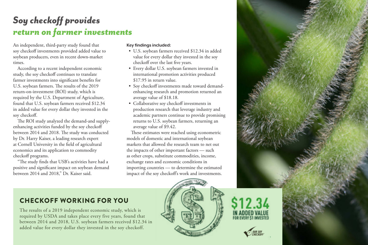## *Soy checkoff provides return on farmer investments*

An independent, third-party study found that soy checkoff investments provided added value to soybean producers, even in recent down-market times.

According to a recent independent economic study, the soy checkoff continues to translate farmer investments into significant benefits for U.S. soybean farmers. The results of the 2019 return-on-investment (ROI) study, which is required by the U.S. Department of Agriculture, found that U.S. soybean farmers received \$12.34 in added value for every dollar they invested in the soy checkoff.

The ROI study analyzed the demand-and supplyenhancing activities funded by the soy checkoff between 2014 and 2018. The study was conducted by Dr. Harry Kaiser, a leading research expert at Cornell University in the field of agricultural economics and its application to commodity checkoff programs.

"The study finds that USB's activities have had a positive and significant impact on soybean demand between 2014 and 2018," Dr. Kaiser said.

#### **Key findings included:**

- U.S. soybean farmers received \$12.34 in added value for every dollar they invested in the soy checkoff over the last five years.
- Every dollar U.S. soybean farmers invested in international promotion activities produced \$17.95 in return value.
- Soy checkoff investments made toward demandenhancing research and promotion returned an average value of \$18.18.
- Collaborative soy checkoff investments in production research that leverage industry and academic partners continue to provide promising returns to U.S. soybean farmers, returning an average value of \$9.42.

These estimates were reached using econometric models of domestic and international soybean markets that allowed the research team to net out the impacts of other important factors — such as other crops, substitute commodities, income, exchange rates and economic conditions in importing countries — to determine the estimated impact of the soy checkoff's work and investments.





### CHECKOFF WORKING FOR YOU

The results of a 2019 independent economic study, which is required by USDA and takes place every five years, found that between 2014 and 2018, U.S. soybean farmers received \$12.34 in added value for every dollar they invested in the soy checkoff.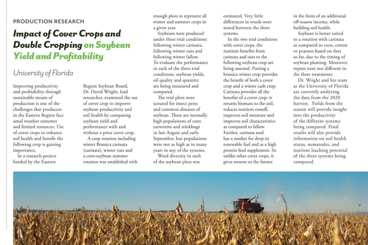### **PRODUCTION RESEARCH**

## *Impact of Cover Crops and Double Cropping on Soybean Yield and Profitability*

### *University of Florida*

Improving productivity and profitability through sustainable means of production is one of the challenges that producers in the Eastern Region face amid weather extremes and limited resources. Use of cover crops to enhance soil health and benefit the following crop is gaining importance.

In a research project funded by the Eastern

Region Soybean Board, Dr. David Wright, lead researcher, examined the use of cover crop to improve soybean productivity and soil health by comparing soybean yield and performance with and without a prior cover crop. A crop rotation including winter Brassica carinata (carinata), winter oats and

a corn-soybean summer rotation was established with enough plots to represent all winter and summer crops in a given year.

Soybeans were produced under three trial conditions: following winter carinata, following winter oats and following winter fallow. To evaluate the performance in each of the three trial conditions, soybean yields, oil quality and quantity are being measured and compared.

The trial plots were scouted for insect pests and common diseases of soybean. There are normally high populations of corn earworms and stinkbugs in late August and early September, but populations were not as high as in many years in any of the systems.

Weed diversity in each of the soybean plots was

estimated. Very little differences in weeds were noted between the three systems.

In the two trial conditions with cover crops, the nutrient benefits from carinata and oats to the following soybean crop are being assessed. Putting a brassica winter crop provides the benefit of both a cover crop and a winter cash crop. Carinata provides all the benefits of a cover crop: it returns biomass to the soil, reduces nutrient runoff, improves soil moisture and improves soil characteristics as compared to fallow. Further, carinata seed has a market for drop-in renewable fuel and as a high protein feed supplement. So unlike other cover crops, it gives returns to the farmer

in the form of an additional off-season income, while building soil health.

Soybean is better suited to a rotation with carinata as compared to corn, cotton or peanuts based on data so far, due to the timing of soybean planting. Moreover, inputs were not different in the three treatments.

Dr. Wright and his team at the University of Florida are currently analyzing the data from the 2020 harvest. Yields from the season will provide insight into the productivity of the different systems being compared. Final results will also provide information on soil health status, nematodes, and nutrient leaching potential of the three systems being compared.

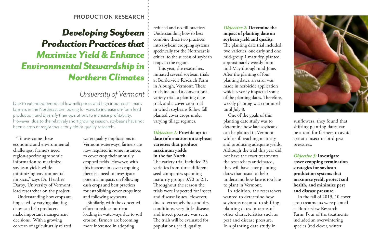#### **PRODUCTION RESEARCH**

## *Developing Soybean Production Practices that Maximize Yield & Enhance Environmental Stewardship in Northern Climates*

### *University of Vermont*

Due to extended periods of low milk prices and high input costs, many farmers in the Northeast are looking for ways to increase on-farm feed production and diversify their operations to increase profitability. However, due to the relatively short growing season, soybeans have not been a crop of major focus for yield or quality research.

"To overcome these economic and environmental challenges, farmers need region-specific agronomic information to maximize soybean yields while minimizing environmental impacts," says Dr. Heather Darby, University of Vermont, lead researcher on the project.

Understanding how crops are impacted by varying planting dates can help producers make important management decisions. With a growing concern of agriculturally related

water quality implications in Vermont waterways, farmers are now required in some instances to cover crop their annually cropped fields. However, with this increase in cover cropping there is a need to investigate potential impacts on following cash crops and best practices for establishing cover crops into and following soybeans.

Similarly, with the concerted effort to reduce nutrient loading in waterways due to soil erosion, farmers are becoming more interested in adopting

reduced and no-till practices. Understanding how to best combine these two practices into soybean cropping systems specifically for the Northeast is critical to the success of soybean crops in the region.

This year, the researchers initiated several soybean trials at Borderview Research Farm in Alburgh, Vermont. These trials included a conventional variety trial, a planting date trial, and a cover crop trial in which soybeans follow fall planted cover crops under varying tillage regimes.

#### *Objective 1:* **Provide up-todate information on soybean varieties that produce maximum yields in the far North.**

The variety trial included 23 varieties from three different seed companies spanning maturity groups 0.90 to 2.1. Throughout the season the trials were inspected for insect and disease issues. However, due to extremely hot and dry conditions, very little disease and insect pressure was seen. The trials will be evaluated for populations, yield, quality.

#### *Objective 2:* **Determine the impact of planting date on soybean yield and quality.**

The planting date trial included two varieties, one early and one mid-group 1 maturity, planted approximately weekly from mid-May through mid-June. After the planting of four planting dates, an error was made in herbicide application which severely impacted some of the planting dates. Therefore, weekly planting was continued until July 8.

One of the goals of this planting date study was to determine how late soybeans can be planted in Vermont while still reaching maturity and producing adequate yields. Although the trial this year did not have the exact treatments the researchers anticipated, they will have later planting dates than usual to help understand how late is too late to plant in Vermont.

In addition, the researchers wanted to determine how soybeans respond to shifting planting dates in terms of other characteristics such as pest and disease pressure. In a planting date study in



sunflowers, they found that shifting planting dates can be a tool for farmers to avoid certain insect or bird pest pressures.

*Objective 3:* **Investigate cover cropping termination strategies for soybean production systems that maximize yield, protect soil health, and minimize pest and disease pressure.**

In the fall of 2019, 10 cover crop treatments were planted at Borderview Research Farm. Four of the treatments included an overwintering species (red clover, winter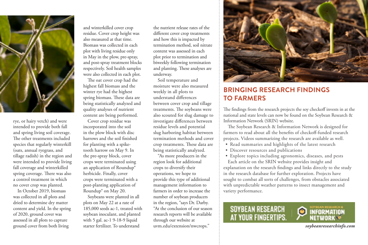

rye, or hairy vetch) and were intended to provide both fall and spring living soil coverage. The other treatments included species that regularly winterkill (oats, annual ryegrass, and tillage radish) in the region and were intended to provide living fall coverage and winterkilled spring coverage. There was also a control treatment in which no cover crop was planted.

In October 2019, biomass was collected in all plots and dried to determine dry matter content and yield. In the spring of 2020, ground cover was assessed in all plots to capture ground cover from both living

and winterkilled cover crop residue. Cover crop height was also measured at that time. Biomass was collected in each plot with living residue only in May in the plow, pre-spray, and post-spray treatment blocks respectively. Soil health samples were also collected in each plot.

The oat cover crop had the highest fall biomass and the winter rye had the highest spring biomass. These data are being statistically analyzed and quality analyses of nutrient content are being performed.

Cover crop residue was incorporated into the soil in the plow block with disc harrows and the soil finished for planting with a spiketooth harrow on May 9. In the pre-spray block, cover crops were terminated using an application of Roundup® herbicide. Finally, cover crops were terminated with a post-planting application of Roundup® on May 20.

Soybeans were planted in all plots on May 22 at a rate of 185,000 seeds ac-1, treated with soybean inoculant, and planted with 5 gal. ac-1 9-18-9 liquid starter fertilizer. To understand

the nutrient release rates of the different cover crop treatments and how this is impacted by termination method, soil nitrate content was assessed in each plot prior to termination and biweekly following termination and planting. These analyses are underway.

Soil temperature and moisture were also measured weekly in all plots to understand differences between cover crop and tillage treatments. The soybeans were also scouted for slug damage to investigate differences between residue levels and potential slug harboring habitat between termination methods and cover crop treatments. These data are being statistically analyzed.

"As more producers in the region look for additional crops to diversify their operations, we hope to provide this type of additional management information to farmers in order to increase the number of soybean producers in the region, "says Dr. Darby. "At the conclusion of our season research reports will be available through our website at uvm.edu/extension/nwcrops."



### **BRINGING RESEARCH FINDINGS TO FARMERS**

The findings from the research projects the soy checkoff invests in at the national and state levels can now be found on the Soybean Research & Information Network (SRIN) website.

The Soybean Research & Information Network is designed for farmers to read about all the benefits of checkoff-funded research projects. Videos summarizing the research are available as well.

- Read summaries and highlights of the latest research
- Discover resources and publications
- Explore topics including agronomics, diseases, and pests

Each article on the SRIN website provides insight and explanation on the research findings and links directly to the study in the research database for further exploration. Projects have sought to combat all sorts of challenges, from obstacles associated with unpredictable weather patterns to insect management and variety performance.